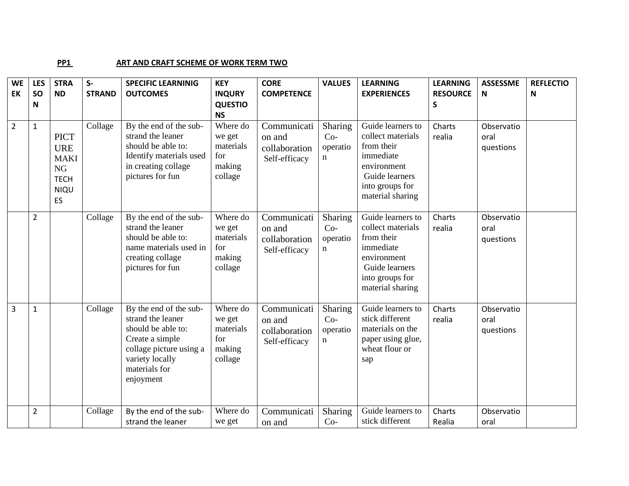## **PP1** ART AND CRAFT SCHEME OF WORK TERM TWO

| <b>WE</b>      | <b>LES</b>     | <b>STRA</b>                                                                        | $S-$          | <b>SPECIFIC LEARNINIG</b>                                                                                                                                        | <b>KEY</b>                                                  | <b>CORE</b>                                             | <b>VALUES</b>                               | <b>LEARNING</b>                                                                                                                           | <b>LEARNING</b>      | <b>ASSESSME</b>                 | <b>REFLECTIO</b> |
|----------------|----------------|------------------------------------------------------------------------------------|---------------|------------------------------------------------------------------------------------------------------------------------------------------------------------------|-------------------------------------------------------------|---------------------------------------------------------|---------------------------------------------|-------------------------------------------------------------------------------------------------------------------------------------------|----------------------|---------------------------------|------------------|
| EK             | <b>SO</b><br>N | <b>ND</b>                                                                          | <b>STRAND</b> | <b>OUTCOMES</b>                                                                                                                                                  | <b>INQURY</b><br><b>QUESTIO</b><br><b>NS</b>                | <b>COMPETENCE</b>                                       |                                             | <b>EXPERIENCES</b>                                                                                                                        | <b>RESOURCE</b><br>S | Ν                               | N                |
| $\overline{2}$ | $\mathbf{1}$   | <b>PICT</b><br><b>URE</b><br><b>MAKI</b><br>NG<br><b>TECH</b><br><b>NIQU</b><br>ES | Collage       | By the end of the sub-<br>strand the leaner<br>should be able to:<br>Identify materials used<br>in creating collage<br>pictures for fun                          | Where do<br>we get<br>materials<br>for<br>making<br>collage | Communicati<br>on and<br>collaboration<br>Self-efficacy | Sharing<br>$Co-$<br>operatio<br>n           | Guide learners to<br>collect materials<br>from their<br>immediate<br>environment<br>Guide learners<br>into groups for<br>material sharing | Charts<br>realia     | Observatio<br>oral<br>questions |                  |
|                | $\overline{2}$ |                                                                                    | Collage       | By the end of the sub-<br>strand the leaner<br>should be able to:<br>name materials used in<br>creating collage<br>pictures for fun                              | Where do<br>we get<br>materials<br>for<br>making<br>collage | Communicati<br>on and<br>collaboration<br>Self-efficacy | Sharing<br>$Co-$<br>operatio<br>$\mathbf n$ | Guide learners to<br>collect materials<br>from their<br>immediate<br>environment<br>Guide learners<br>into groups for<br>material sharing | Charts<br>realia     | Observatio<br>oral<br>questions |                  |
| 3              | $\mathbf{1}$   |                                                                                    | Collage       | By the end of the sub-<br>strand the leaner<br>should be able to:<br>Create a simple<br>collage picture using a<br>variety locally<br>materials for<br>enjoyment | Where do<br>we get<br>materials<br>for<br>making<br>collage | Communicati<br>on and<br>collaboration<br>Self-efficacy | Sharing<br>$Co-$<br>operatio<br>n           | Guide learners to<br>stick different<br>materials on the<br>paper using glue,<br>wheat flour or<br>sap                                    | Charts<br>realia     | Observatio<br>oral<br>questions |                  |
|                | $\overline{2}$ |                                                                                    | Collage       | By the end of the sub-<br>strand the leaner                                                                                                                      | Where do<br>we get                                          | Communicati<br>on and                                   | Sharing<br>$Co-$                            | Guide learners to<br>stick different                                                                                                      | Charts<br>Realia     | Observatio<br>oral              |                  |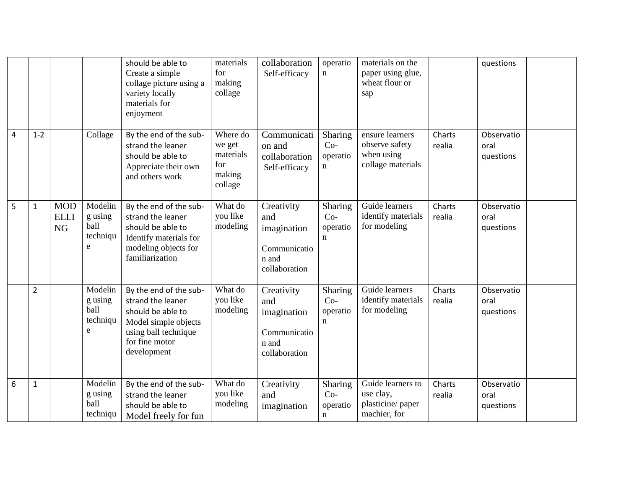|                |                |                                        |                                             | should be able to<br>Create a simple<br>collage picture using a<br>variety locally<br>materials for<br>enjoyment                                  | materials<br>for<br>making<br>collage                       | collaboration<br>Self-efficacy                                             | operatio<br>$\mathbf n$           | materials on the<br>paper using glue,<br>wheat flour or<br>sap       |                  | questions                       |  |
|----------------|----------------|----------------------------------------|---------------------------------------------|---------------------------------------------------------------------------------------------------------------------------------------------------|-------------------------------------------------------------|----------------------------------------------------------------------------|-----------------------------------|----------------------------------------------------------------------|------------------|---------------------------------|--|
| $\overline{4}$ | $1 - 2$        |                                        | Collage                                     | By the end of the sub-<br>strand the leaner<br>should be able to<br>Appreciate their own<br>and others work                                       | Where do<br>we get<br>materials<br>for<br>making<br>collage | Communicati<br>on and<br>collaboration<br>Self-efficacy                    | Sharing<br>$Co-$<br>operatio<br>n | ensure learners<br>observe safety<br>when using<br>collage materials | Charts<br>realia | Observatio<br>oral<br>questions |  |
| 5              | $\mathbf{1}$   | <b>MOD</b><br><b>ELLI</b><br><b>NG</b> | Modelin<br>g using<br>ball<br>techniqu<br>e | By the end of the sub-<br>strand the leaner<br>should be able to<br>Identify materials for<br>modeling objects for<br>familiarization             | What do<br>you like<br>modeling                             | Creativity<br>and<br>imagination<br>Communicatio<br>n and<br>collaboration | Sharing<br>$Co-$<br>operatio<br>n | Guide learners<br>identify materials<br>for modeling                 | Charts<br>realia | Observatio<br>oral<br>questions |  |
|                | $\overline{2}$ |                                        | Modelin<br>g using<br>ball<br>techniqu<br>e | By the end of the sub-<br>strand the leaner<br>should be able to<br>Model simple objects<br>using ball technique<br>for fine motor<br>development | What do<br>you like<br>modeling                             | Creativity<br>and<br>imagination<br>Communicatio<br>n and<br>collaboration | Sharing<br>$Co-$<br>operatio<br>n | Guide learners<br>identify materials<br>for modeling                 | Charts<br>realia | Observatio<br>oral<br>questions |  |
| 6              | $\mathbf{1}$   |                                        | Modelin<br>g using<br>ball<br>techniqu      | By the end of the sub-<br>strand the leaner<br>should be able to<br>Model freely for fun                                                          | What do<br>you like<br>modeling                             | Creativity<br>and<br>imagination                                           | Sharing<br>$Co-$<br>operatio<br>n | Guide learners to<br>use clay,<br>plasticine/paper<br>machier, for   | Charts<br>realia | Observatio<br>oral<br>questions |  |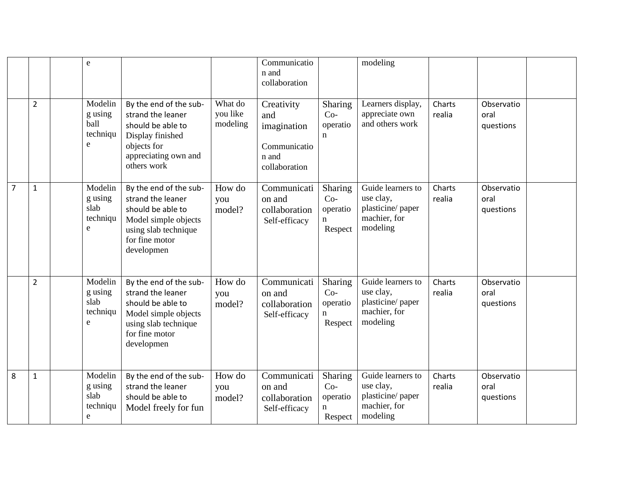|                |                | e                                                  |                                                                                                                                                  |                                 | Communicatio<br>n and<br>collaboration                                     |                                              | modeling                                                                        |                  |                                 |  |
|----------------|----------------|----------------------------------------------------|--------------------------------------------------------------------------------------------------------------------------------------------------|---------------------------------|----------------------------------------------------------------------------|----------------------------------------------|---------------------------------------------------------------------------------|------------------|---------------------------------|--|
|                | $\overline{2}$ | Modelin<br>g using<br><b>ball</b><br>techniqu<br>e | By the end of the sub-<br>strand the leaner<br>should be able to<br>Display finished<br>objects for<br>appreciating own and<br>others work       | What do<br>you like<br>modeling | Creativity<br>and<br>imagination<br>Communicatio<br>n and<br>collaboration | Sharing<br>$Co-$<br>operatio<br>n            | Learners display,<br>appreciate own<br>and others work                          | Charts<br>realia | Observatio<br>oral<br>questions |  |
| $\overline{7}$ | $\mathbf{1}$   | Modelin<br>g using<br>slab<br>techniqu<br>e        | By the end of the sub-<br>strand the leaner<br>should be able to<br>Model simple objects<br>using slab technique<br>for fine motor<br>developmen | How do<br>you<br>model?         | Communicati<br>on and<br>collaboration<br>Self-efficacy                    | Sharing<br>$Co-$<br>operatio<br>n<br>Respect | Guide learners to<br>use clay,<br>plasticine/ paper<br>machier, for<br>modeling | Charts<br>realia | Observatio<br>oral<br>questions |  |
|                | $\overline{2}$ | Modelin<br>g using<br>slab<br>techniqu<br>e        | By the end of the sub-<br>strand the leaner<br>should be able to<br>Model simple objects<br>using slab technique<br>for fine motor<br>developmen | How do<br>you<br>model?         | Communicati<br>on and<br>collaboration<br>Self-efficacy                    | Sharing<br>$Co-$<br>operatio<br>n<br>Respect | Guide learners to<br>use clay,<br>plasticine/paper<br>machier, for<br>modeling  | Charts<br>realia | Observatio<br>oral<br>questions |  |
| 8              | $\mathbf{1}$   | Modelin<br>g using<br>slab<br>techniqu<br>e        | By the end of the sub-<br>strand the leaner<br>should be able to<br>Model freely for fun                                                         | How do<br>you<br>model?         | Communicati<br>on and<br>collaboration<br>Self-efficacy                    | Sharing<br>$Co-$<br>operatio<br>n<br>Respect | Guide learners to<br>use clay,<br>plasticine/ paper<br>machier, for<br>modeling | Charts<br>realia | Observatio<br>oral<br>questions |  |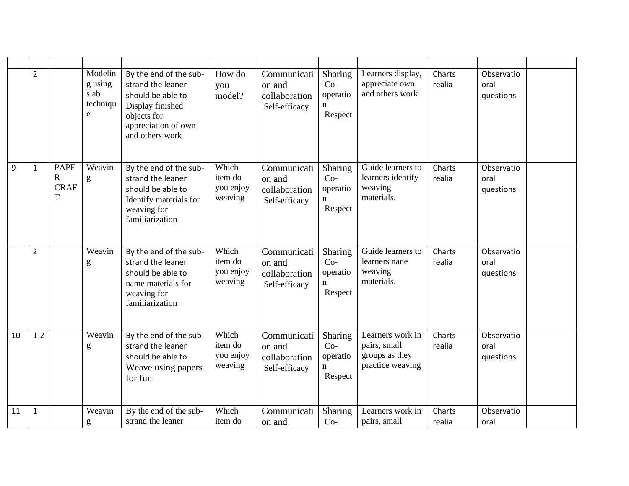|    | $\overline{2}$ |                                      | Modelin<br>g using<br>slab<br>techniqu<br>e                                                                                                                                                                                                                                                                                                                                                                                              | By the end of the sub-<br>strand the leaner<br>should be able to<br>Display finished<br>objects for<br>appreciation of own<br>and others work | How do<br>you<br>model?                  | Communicati<br>on and<br>collaboration<br>Self-efficacy | Sharing<br>$Co-$<br>operatio<br>n<br>Respect           | Learners display,<br>appreciate own<br>and others work                 | Charts<br>realia | Observatio<br>oral<br>questions |  |
|----|----------------|--------------------------------------|------------------------------------------------------------------------------------------------------------------------------------------------------------------------------------------------------------------------------------------------------------------------------------------------------------------------------------------------------------------------------------------------------------------------------------------|-----------------------------------------------------------------------------------------------------------------------------------------------|------------------------------------------|---------------------------------------------------------|--------------------------------------------------------|------------------------------------------------------------------------|------------------|---------------------------------|--|
| 9  | $\mathbf{1}$   | <b>PAPE</b><br>R<br><b>CRAF</b><br>T | Weavin<br>g                                                                                                                                                                                                                                                                                                                                                                                                                              | By the end of the sub-<br>strand the leaner<br>should be able to<br>Identify materials for<br>weaving for<br>familiarization                  | Which<br>item do<br>you enjoy<br>weaving | Communicati<br>on and<br>collaboration<br>Self-efficacy | Sharing<br>$Co-$<br>operatio<br>$\mathbf n$<br>Respect | Guide learners to<br>learners identify<br>weaving<br>materials.        | Charts<br>realia | Observatio<br>oral<br>questions |  |
|    | $\overline{2}$ |                                      | Weavin<br>g                                                                                                                                                                                                                                                                                                                                                                                                                              | By the end of the sub-<br>strand the leaner<br>should be able to<br>name materials for<br>weaving for<br>familiarization                      | Which<br>item do<br>you enjoy<br>weaving | Communicati<br>on and<br>collaboration<br>Self-efficacy | Sharing<br>$Co-$<br>operatio<br>$\mathbf n$<br>Respect | Guide learners to<br>learners nane<br>weaving<br>materials.            | Charts<br>realia | Observatio<br>oral<br>questions |  |
| 10 | $1 - 2$        |                                      | Weavin<br>g                                                                                                                                                                                                                                                                                                                                                                                                                              | By the end of the sub-<br>strand the leaner<br>should be able to<br>Weave using papers<br>for fun                                             | Which<br>item do<br>you enjoy<br>weaving | Communicati<br>on and<br>collaboration<br>Self-efficacy | Sharing<br>$Co-$<br>operatio<br>$\mathbf n$<br>Respect | Learners work in<br>pairs, small<br>groups as they<br>practice weaving | Charts<br>realia | Observatio<br>oral<br>questions |  |
| 11 | $\mathbf{1}$   |                                      | Weavin<br>$\mathbf{g}% _{T}=\mathbf{g}_{T}=\mathbf{g}_{T}=\mathbf{g}_{T}=\mathbf{g}_{T}=\mathbf{g}_{T}=\mathbf{g}_{T}=\mathbf{g}_{T}=\mathbf{g}_{T}=\mathbf{g}_{T}=\mathbf{g}_{T}=\mathbf{g}_{T}=\mathbf{g}_{T}=\mathbf{g}_{T}=\mathbf{g}_{T}=\mathbf{g}_{T}=\mathbf{g}_{T}=\mathbf{g}_{T}=\mathbf{g}_{T}=\mathbf{g}_{T}=\mathbf{g}_{T}=\mathbf{g}_{T}=\mathbf{g}_{T}=\mathbf{g}_{T}=\mathbf{g}_{T}=\mathbf{g}_{T}=\mathbf{g}_{T}=\math$ | By the end of the sub-<br>strand the leaner                                                                                                   | Which<br>item do                         | Communicati<br>on and                                   | Sharing<br>$Co-$                                       | Learners work in<br>pairs, small                                       | Charts<br>realia | Observatio<br>oral              |  |